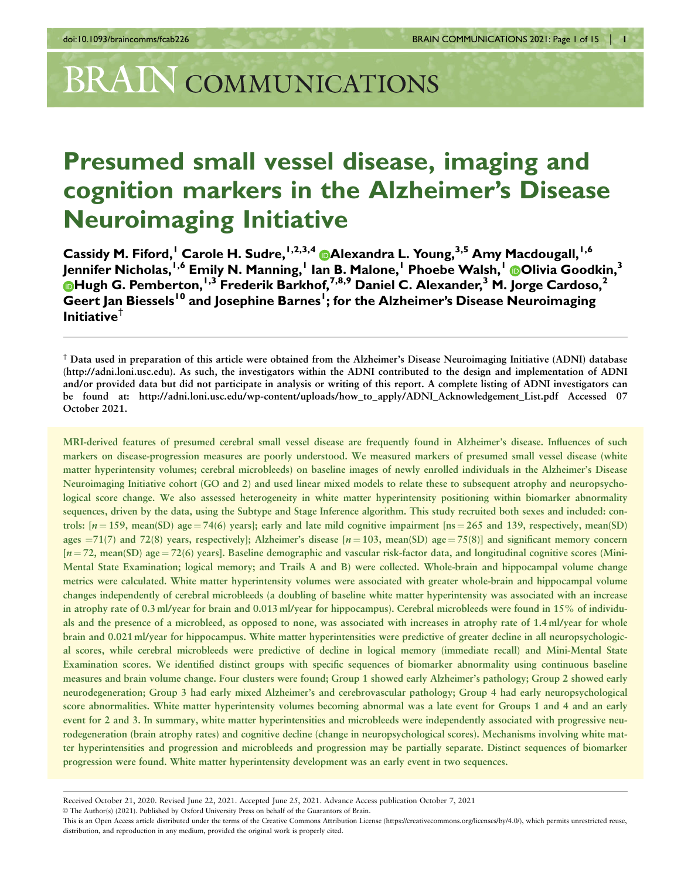# BRAIN COMMUNICATIONS

# Presumed small vessel disease, imaging and cognition markers in the Alzheimer's Disease Neuroimaging Initiative

Cassidy M. Fiford,<sup>1</sup> Carole H. Sudre,<sup>1,2,3,4</sup>  $\bullet$  Alexandra L. Young,<sup>3,5</sup> Amy Macdougall,<sup>1,6</sup> Jennifer Nicholas,<sup>I,6</sup> Emily N. Manning,<sup>I</sup> Ian B. Malone,<sup>I</sup> Phoebe Walsh,<sup>I</sup> D[O](https://orcid.org/0000-0001-9283-9716)livia Goodkin,<sup>3</sup> [H](https://orcid.org/0000-0001-8419-6423)ugh G. Pemberton, <sup>1,3</sup> Frederik Barkhof, <sup>7,8,9</sup> Daniel C. Alexander, <sup>3</sup> M. Jorge Cardoso, <sup>2</sup> Geert Jan Biessels<sup>10</sup> and Josephine Barnes<sup>1</sup>; for the Alzheimer's Disease Neuroimaging Initiative $^{\dagger}$ 

† Data used in preparation of this article were obtained from the Alzheimer's Disease Neuroimaging Initiative (ADNI) database (http://adni.loni.usc.edu). As such, the investigators within the ADNI contributed to the design and implementation of ADNI and/or provided data but did not participate in analysis or writing of this report. A complete listing of ADNI investigators can be found at: http://adni.loni.usc.edu/wp-content/uploads/how\_to\_apply/ADNI\_Acknowledgement\_List.pdf Accessed 07 October 2021.

MRI-derived features of presumed cerebral small vessel disease are frequently found in Alzheimer's disease. Influences of such markers on disease-progression measures are poorly understood. We measured markers of presumed small vessel disease (white matter hyperintensity volumes; cerebral microbleeds) on baseline images of newly enrolled individuals in the Alzheimer's Disease Neuroimaging Initiative cohort (GO and 2) and used linear mixed models to relate these to subsequent atrophy and neuropsychological score change. We also assessed heterogeneity in white matter hyperintensity positioning within biomarker abnormality sequences, driven by the data, using the Subtype and Stage Inference algorithm. This study recruited both sexes and included: controls:  $[n = 159$ , mean(SD) age = 74(6) years]; early and late mild cognitive impairment  $[ns = 265$  and 139, respectively, mean(SD) ages  $=71(7)$  and 72(8) years, respectively]; Alzheimer's disease  $[n = 103$ , mean(SD) age = 75(8)] and significant memory concern  $[n = 72, \text{mean}(\text{SD}) \text{ age} = 72(6) \text{ years}]$ . Baseline demographic and vascular risk-factor data, and longitudinal cognitive scores (Mini-Mental State Examination; logical memory; and Trails A and B) were collected. Whole-brain and hippocampal volume change metrics were calculated. White matter hyperintensity volumes were associated with greater whole-brain and hippocampal volume changes independently of cerebral microbleeds (a doubling of baseline white matter hyperintensity was associated with an increase in atrophy rate of 0.3 ml/year for brain and 0.013 ml/year for hippocampus). Cerebral microbleeds were found in 15% of individuals and the presence of a microbleed, as opposed to none, was associated with increases in atrophy rate of 1.4 ml/year for whole brain and 0.021 ml/year for hippocampus. White matter hyperintensities were predictive of greater decline in all neuropsychological scores, while cerebral microbleeds were predictive of decline in logical memory (immediate recall) and Mini-Mental State Examination scores. We identified distinct groups with specific sequences of biomarker abnormality using continuous baseline measures and brain volume change. Four clusters were found; Group 1 showed early Alzheimer's pathology; Group 2 showed early neurodegeneration; Group 3 had early mixed Alzheimer's and cerebrovascular pathology; Group 4 had early neuropsychological score abnormalities. White matter hyperintensity volumes becoming abnormal was a late event for Groups 1 and 4 and an early event for 2 and 3. In summary, white matter hyperintensities and microbleeds were independently associated with progressive neurodegeneration (brain atrophy rates) and cognitive decline (change in neuropsychological scores). Mechanisms involving white matter hyperintensities and progression and microbleeds and progression may be partially separate. Distinct sequences of biomarker progression were found. White matter hyperintensity development was an early event in two sequences.

V<sup>C</sup> The Author(s) (2021). Published by Oxford University Press on behalf of the Guarantors of Brain.

Received October 21, 2020. Revised June 22, 2021. Accepted June 25, 2021. Advance Access publication October 7, 2021

This is an Open Access article distributed under the terms of the Creative Commons Attribution License (https://creativecommons.org/licenses/by/4.0/), which permits unrestricted reuse, distribution, and reproduction in any medium, provided the original work is properly cited.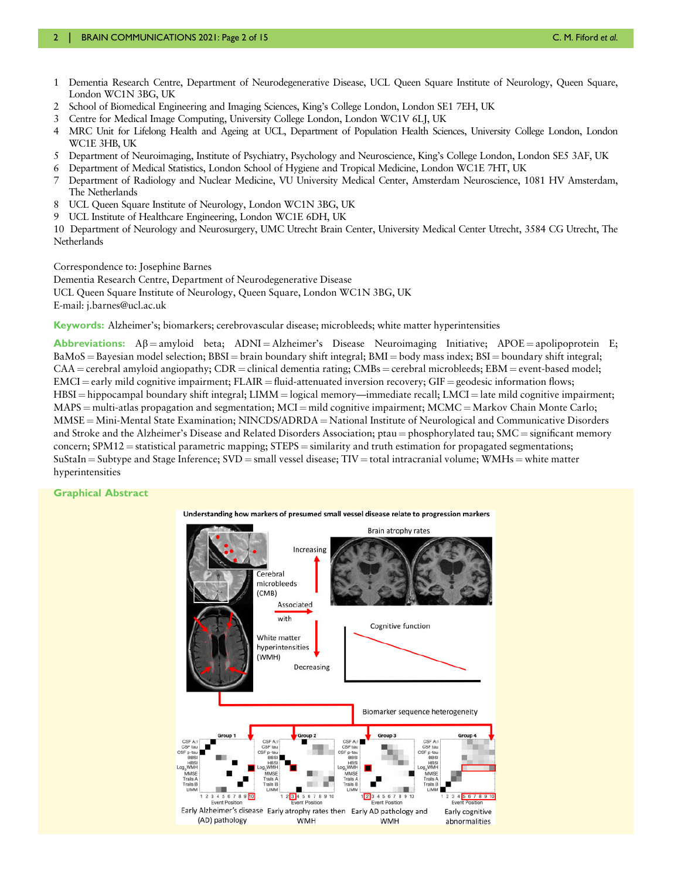- 1 Dementia Research Centre, Department of Neurodegenerative Disease, UCL Queen Square Institute of Neurology, Queen Square, London WC1N 3BG, UK
- 2 School of Biomedical Engineering and Imaging Sciences, King's College London, London SE1 7EH, UK
- 3 Centre for Medical Image Computing, University College London, London WC1V 6LJ, UK
- 4 MRC Unit for Lifelong Health and Ageing at UCL, Department of Population Health Sciences, University College London, London WC1E 3HB, UK
- 5 Department of Neuroimaging, Institute of Psychiatry, Psychology and Neuroscience, King's College London, London SE5 3AF, UK
- 6 Department of Medical Statistics, London School of Hygiene and Tropical Medicine, London WC1E 7HT, UK
- 7 Department of Radiology and Nuclear Medicine, VU University Medical Center, Amsterdam Neuroscience, 1081 HV Amsterdam, The Netherlands
- 8 UCL Queen Square Institute of Neurology, London WC1N 3BG, UK
- 9 UCL Institute of Healthcare Engineering, London WC1E 6DH, UK

10 Department of Neurology and Neurosurgery, UMC Utrecht Brain Center, University Medical Center Utrecht, 3584 CG Utrecht, The Netherlands

Correspondence to: Josephine Barnes

Dementia Research Centre, Department of Neurodegenerative Disease UCL Queen Square Institute of Neurology, Queen Square, London WC1N 3BG, UK

E-mail: j.barnes@ucl.ac.uk

Keywords: Alzheimer's; biomarkers; cerebrovascular disease; microbleeds; white matter hyperintensities

Abbreviations:  $\mathbf{A}\beta$  = amyloid beta;  $\mathbf{A}\mathbf{D}\mathbf{N}\mathbf{I} = \mathbf{A}\mathbf{I}$ zheimer's Disease Neuroimaging Initiative;  $\mathbf{A}\mathbf{P}\mathbf{O}\mathbf{E} =$  apolipoprotein E;  $BaMoS = Bayesian model selection; BBSI = brain boundary shift integral; BMI = body mass index; BSI = boundary shift integral;$  $CAA =$  cerebral amyloid angiopathy;  $CDR =$  clinical dementia rating;  $CMBs =$  cerebral microbleeds;  $EBM =$  event-based model;  $EMCI =$  early mild cognitive impairment;  $FLAIR =$  fluid-attenuated inversion recovery;  $GIF =$  geodesic information flows;  $HBSI = hippocampal boundary shift integral; LIMM = logical memory—immediate recall; LMCI = late mild cognitive impairment;$  $MAPS = multi-atlas propagation and segmentation; MCI = mild cognitive impairment; MCMC = Markov Chain Monte Carlo;$ MMSE = Mini-Mental State Examination; NINCDS/ADRDA = National Institute of Neurological and Communicative Disorders and Stroke and the Alzheimer's Disease and Related Disorders Association; ptau = phosphorylated tau;  $SMC =$  significant memory concern;  $SPM12$  = statistical parametric mapping;  $STEPS$  = similarity and truth estimation for propagated segmentations;  $Sustaln = Subtype$  and Stage Inference;  $SVD = small$  vessel disease;  $TIV = total$  intracranial volume; WMHs = white matter hyperintensities

#### Graphical Abstract

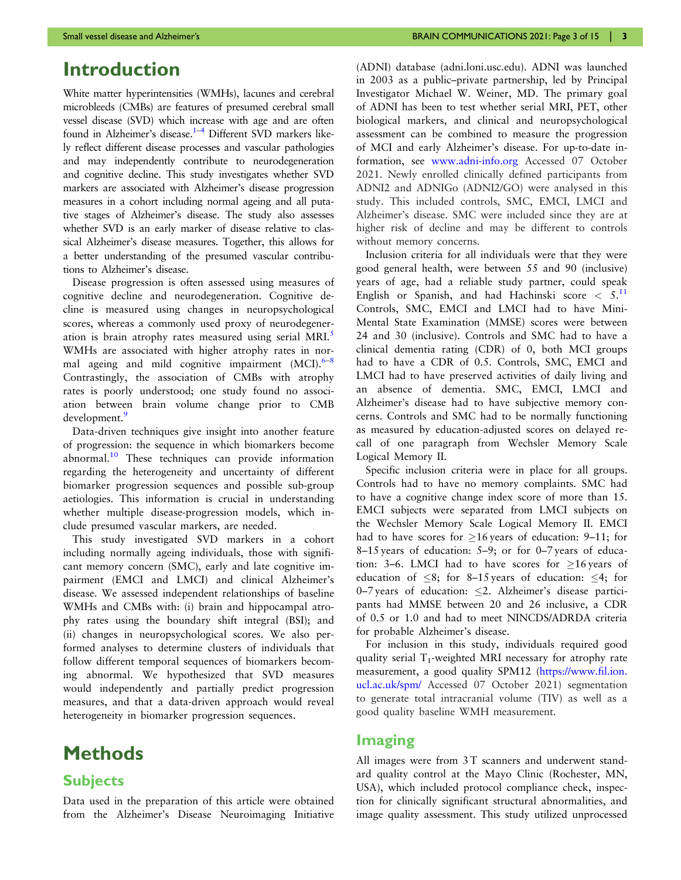## <span id="page-2-0"></span>Introduction

White matter hyperintensities (WMHs), lacunes and cerebral microbleeds (CMBs) are features of presumed cerebral small vessel disease (SVD) which increase with age and are often found in Alzheimer's disease.<sup>1-4</sup> Different SVD markers likely reflect different disease processes and vascular pathologies and may independently contribute to neurodegeneration and cognitive decline. This study investigates whether SVD markers are associated with Alzheimer's disease progression measures in a cohort including normal ageing and all putative stages of Alzheimer's disease. The study also assesses whether SVD is an early marker of disease relative to classical Alzheimer's disease measures. Together, this allows for a better understanding of the presumed vascular contributions to Alzheimer's disease.

Disease progression is often assessed using measures of cognitive decline and neurodegeneration. Cognitive decline is measured using changes in neuropsychological scores, whereas a commonly used proxy of neurodegener-ation is brain atrophy rates measured using serial MRI.<sup>[5](#page-13-0)</sup> WMHs are associated with higher atrophy rates in normal ageing and mild cognitive impairment  $(MCI)$ .<sup>[6](#page-13-0)–[8](#page-13-0)</sup> Contrastingly, the association of CMBs with atrophy rates is poorly understood; one study found no association between brain volume change prior to CMB development.<sup>[9](#page-13-0)</sup>

Data-driven techniques give insight into another feature of progression: the sequence in which biomarkers become abnormal.[10](#page-13-0) These techniques can provide information regarding the heterogeneity and uncertainty of different biomarker progression sequences and possible sub-group aetiologies. This information is crucial in understanding whether multiple disease-progression models, which include presumed vascular markers, are needed.

This study investigated SVD markers in a cohort including normally ageing individuals, those with significant memory concern (SMC), early and late cognitive impairment (EMCI and LMCI) and clinical Alzheimer's disease. We assessed independent relationships of baseline WMHs and CMBs with: (i) brain and hippocampal atrophy rates using the boundary shift integral (BSI); and (ii) changes in neuropsychological scores. We also performed analyses to determine clusters of individuals that follow different temporal sequences of biomarkers becoming abnormal. We hypothesized that SVD measures would independently and partially predict progression measures, and that a data-driven approach would reveal heterogeneity in biomarker progression sequences.

# Methods

## **Subjects**

Data used in the preparation of this article were obtained from the Alzheimer's Disease Neuroimaging Initiative (ADNI) database (adni.loni.usc.edu). ADNI was launched in 2003 as a public–private partnership, led by Principal Investigator Michael W. Weiner, MD. The primary goal of ADNI has been to test whether serial MRI, PET, other biological markers, and clinical and neuropsychological assessment can be combined to measure the progression of MCI and early Alzheimer's disease. For up-to-date information, see [www.adni-info.org](http://www.adni-info.org) Accessed 07 October 2021. Newly enrolled clinically defined participants from ADNI2 and ADNIGo (ADNI2/GO) were analysed in this study. This included controls, SMC, EMCI, LMCI and Alzheimer's disease. SMC were included since they are at higher risk of decline and may be different to controls without memory concerns.

Inclusion criteria for all individuals were that they were good general health, were between 55 and 90 (inclusive) years of age, had a reliable study partner, could speak English or Spanish, and had Hachinski score  $\leq 5$ . Controls, SMC, EMCI and LMCI had to have Mini-Mental State Examination (MMSE) scores were between 24 and 30 (inclusive). Controls and SMC had to have a clinical dementia rating (CDR) of 0, both MCI groups had to have a CDR of 0.5. Controls, SMC, EMCI and LMCI had to have preserved activities of daily living and an absence of dementia. SMC, EMCI, LMCI and Alzheimer's disease had to have subjective memory concerns. Controls and SMC had to be normally functioning as measured by education-adjusted scores on delayed recall of one paragraph from Wechsler Memory Scale Logical Memory II.

Specific inclusion criteria were in place for all groups. Controls had to have no memory complaints. SMC had to have a cognitive change index score of more than 15. EMCI subjects were separated from LMCI subjects on the Wechsler Memory Scale Logical Memory II. EMCI had to have scores for  $\geq$ 16 years of education: 9–11; for 8–15 years of education: 5–9; or for 0–7 years of education: 3–6. LMCI had to have scores for  $\geq$ 16 years of education of  $\leq 8$ ; for 8–15 years of education:  $\leq 4$ ; for 0–7 years of education:  $\leq$ 2. Alzheimer's disease participants had MMSE between 20 and 26 inclusive, a CDR of 0.5 or 1.0 and had to meet NINCDS/ADRDA criteria for probable Alzheimer's disease.

For inclusion in this study, individuals required good quality serial  $T_1$ -weighted MRI necessary for atrophy rate measurement, a good quality SPM12 [\(https://www.fil.ion.](https://www.fil.ion.ucl.ac.uk/spm/) [ucl.ac.uk/spm/](https://www.fil.ion.ucl.ac.uk/spm/) Accessed 07 October 2021) segmentation to generate total intracranial volume (TIV) as well as a good quality baseline WMH measurement.

## Imaging

All images were from 3T scanners and underwent standard quality control at the Mayo Clinic (Rochester, MN, USA), which included protocol compliance check, inspection for clinically significant structural abnormalities, and image quality assessment. This study utilized unprocessed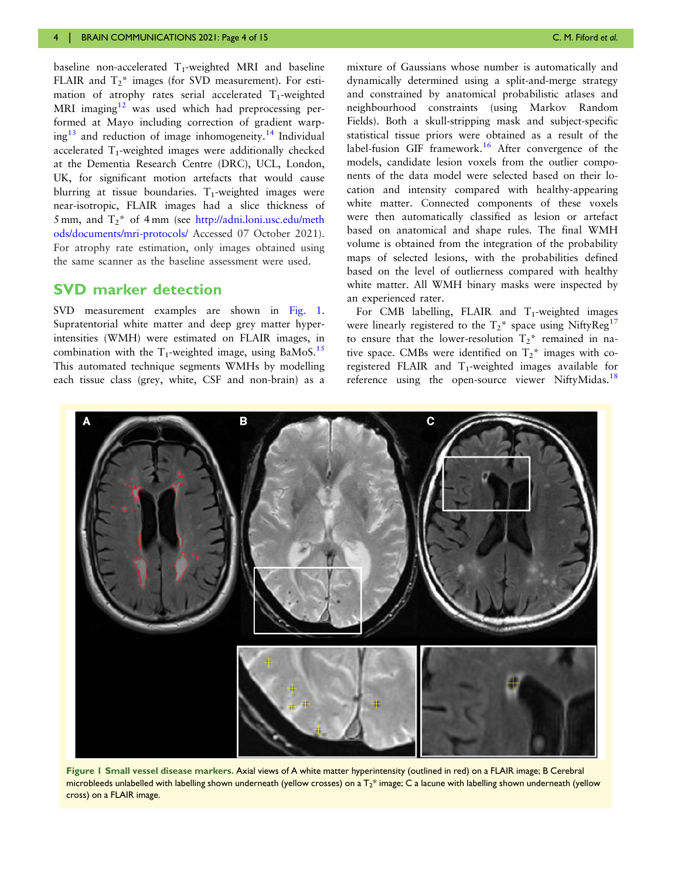<span id="page-3-0"></span>baseline non-accelerated  $T_1$ -weighted MRI and baseline FLAIR and  $T_2^*$  images (for SVD measurement). For estimation of atrophy rates serial accelerated  $T_1$ -weighted MRI imaging $12$  was used which had preprocessing performed at Mayo including correction of gradient warp- $ing<sup>13</sup>$  $ing<sup>13</sup>$  $ing<sup>13</sup>$  and reduction of image inhomogeneity.<sup>[14](#page-13-0)</sup> Individual accelerated  $T_1$ -weighted images were additionally checked at the Dementia Research Centre (DRC), UCL, London, UK, for significant motion artefacts that would cause blurring at tissue boundaries.  $T_1$ -weighted images were near-isotropic, FLAIR images had a slice thickness of 5 mm, and  $T_2^*$  of 4 mm (see [http://adni.loni.usc.edu/meth](http://adni.loni.usc.edu/methods/documents/mri-protocols/) [ods/documents/mri-protocols/](http://adni.loni.usc.edu/methods/documents/mri-protocols/) Accessed 07 October 2021). For atrophy rate estimation, only images obtained using the same scanner as the baseline assessment were used.

## SVD marker detection

SVD measurement examples are shown in Fig. 1. Supratentorial white matter and deep grey matter hyperintensities (WMH) were estimated on FLAIR images, in combination with the  $T_1$ -weighted image, using BaMoS.<sup>[15](#page-13-0)</sup> This automated technique segments WMHs by modelling each tissue class (grey, white, CSF and non-brain) as a

mixture of Gaussians whose number is automatically and dynamically determined using a split-and-merge strategy and constrained by anatomical probabilistic atlases and neighbourhood constraints (using Markov Random Fields). Both a skull-stripping mask and subject-specific statistical tissue priors were obtained as a result of the label-fusion GIF framework.<sup>[16](#page-13-0)</sup> After convergence of the models, candidate lesion voxels from the outlier components of the data model were selected based on their location and intensity compared with healthy-appearing white matter. Connected components of these voxels were then automatically classified as lesion or artefact based on anatomical and shape rules. The final WMH volume is obtained from the integration of the probability maps of selected lesions, with the probabilities defined based on the level of outlierness compared with healthy white matter. All WMH binary masks were inspected by an experienced rater.

For CMB labelling, FLAIR and  $T_1$ -weighted images were linearly registered to the  $T_2^*$  space using NiftyReg<sup>[17](#page-13-0)</sup> to ensure that the lower-resolution  $T_2^*$  remained in native space. CMBs were identified on  $T_2^*$  images with coregistered FLAIR and  $T_1$ -weighted images available for reference using the open-source viewer NiftyMidas.<sup>[18](#page-13-0)</sup>



Figure 1 Small vessel disease markers. Axial views of A white matter hyperintensity (outlined in red) on a FLAIR image; B Cerebral microbleeds unlabelled with labelling shown underneath (yellow crosses) on a  $T_2^*$  image; C a lacune with labelling shown underneath (yellow cross) on a FLAIR image.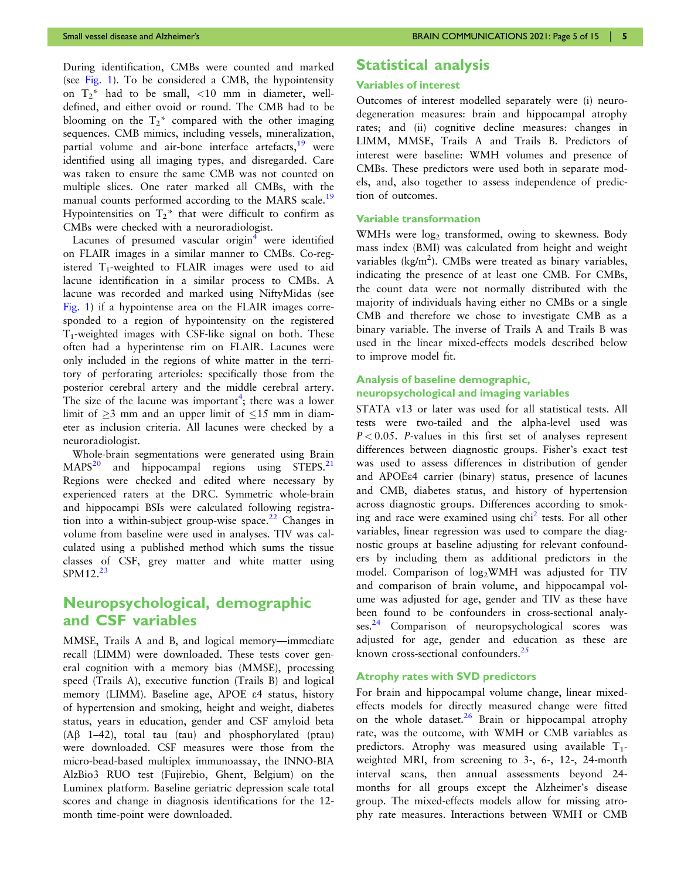<span id="page-4-0"></span>During identification, CMBs were counted and marked (see [Fig. 1](#page-3-0)). To be considered a CMB, the hypointensity on  $T_2^*$  had to be small, <10 mm in diameter, welldefined, and either ovoid or round. The CMB had to be blooming on the  $T_2^*$  compared with the other imaging sequences. CMB mimics, including vessels, mineralization, partial volume and air-bone interface artefacts, <sup>[19](#page-13-0)</sup> were identified using all imaging types, and disregarded. Care was taken to ensure the same CMB was not counted on multiple slices. One rater marked all CMBs, with the manual counts performed according to the MARS scale.<sup>[19](#page-13-0)</sup> Hypointensities on  $T_2^*$  that were difficult to confirm as CMBs were checked with a neuroradiologist.

Lacunes of presumed vascular origin $4$  were identified on FLAIR images in a similar manner to CMBs. Co-registered  $T_1$ -weighted to FLAIR images were used to aid lacune identification in a similar process to CMBs. A lacune was recorded and marked using NiftyMidas (see [Fig. 1](#page-3-0)) if a hypointense area on the FLAIR images corresponded to a region of hypointensity on the registered  $T_1$ -weighted images with CSF-like signal on both. These often had a hyperintense rim on FLAIR. Lacunes were only included in the regions of white matter in the territory of perforating arterioles: specifically those from the posterior cerebral artery and the middle cerebral artery. The size of the lacune was important<sup>[4](#page-13-0)</sup>; there was a lower limit of  $\geq$ 3 mm and an upper limit of  $\leq$ 15 mm in diameter as inclusion criteria. All lacunes were checked by a neuroradiologist.

Whole-brain segmentations were generated using Brain  $MAPS<sup>20</sup>$  $MAPS<sup>20</sup>$  $MAPS<sup>20</sup>$  and hippocampal regions using STEPS.<sup>[21](#page-13-0)</sup> Regions were checked and edited where necessary by experienced raters at the DRC. Symmetric whole-brain and hippocampi BSIs were calculated following registration into a within-subject group-wise space. $^{22}$  $^{22}$  $^{22}$  Changes in volume from baseline were used in analyses. TIV was calculated using a published method which sums the tissue classes of CSF, grey matter and white matter using  $SPM12.<sup>23</sup>$ 

## Neuropsychological, demographic and CSF variables

MMSE, Trails A and B, and logical memory—immediate recall (LIMM) were downloaded. These tests cover general cognition with a memory bias (MMSE), processing speed (Trails A), executive function (Trails B) and logical memory (LIMM). Baseline age, APOE e4 status, history of hypertension and smoking, height and weight, diabetes status, years in education, gender and CSF amyloid beta ( $\text{A}\beta$  1–42), total tau (tau) and phosphorylated (ptau) were downloaded. CSF measures were those from the micro-bead-based multiplex immunoassay, the INNO-BIA AlzBio3 RUO test (Fujirebio, Ghent, Belgium) on the Luminex platform. Baseline geriatric depression scale total scores and change in diagnosis identifications for the 12 month time-point were downloaded.

## Statistical analysis

#### Variables of interest

Outcomes of interest modelled separately were (i) neurodegeneration measures: brain and hippocampal atrophy rates; and (ii) cognitive decline measures: changes in LIMM, MMSE, Trails A and Trails B. Predictors of interest were baseline: WMH volumes and presence of CMBs. These predictors were used both in separate models, and, also together to assess independence of prediction of outcomes.

#### Variable transformation

WMHs were log<sub>2</sub> transformed, owing to skewness. Body mass index (BMI) was calculated from height and weight variables ( $kg/m<sup>2</sup>$ ). CMBs were treated as binary variables, indicating the presence of at least one CMB. For CMBs, the count data were not normally distributed with the majority of individuals having either no CMBs or a single CMB and therefore we chose to investigate CMB as a binary variable. The inverse of Trails A and Trails B was used in the linear mixed-effects models described below to improve model fit.

#### Analysis of baseline demographic, neuropsychological and imaging variables

STATA v13 or later was used for all statistical tests. All tests were two-tailed and the alpha-level used was  $P < 0.05$ . P-values in this first set of analyses represent differences between diagnostic groups. Fisher's exact test was used to assess differences in distribution of gender and APOEe4 carrier (binary) status, presence of lacunes and CMB, diabetes status, and history of hypertension across diagnostic groups. Differences according to smoking and race were examined using  $\chi$ hi<sup>[2](#page-13-0)</sup> tests. For all other variables, linear regression was used to compare the diagnostic groups at baseline adjusting for relevant confounders by including them as additional predictors in the model. Comparison of  $log_2$ WMH was adjusted for TIV and comparison of brain volume, and hippocampal volume was adjusted for age, gender and TIV as these have been found to be confounders in cross-sectional analy $s$ es.<sup>[24](#page-13-0)</sup> Comparison of neuropsychological scores was adjusted for age, gender and education as these are known cross-sectional confounders. $25$ 

#### Atrophy rates with SVD predictors

For brain and hippocampal volume change, linear mixedeffects models for directly measured change were fitted on the whole dataset.<sup>[26](#page-13-0)</sup> Brain or hippocampal atrophy rate, was the outcome, with WMH or CMB variables as predictors. Atrophy was measured using available  $T_1$ weighted MRI, from screening to 3-, 6-, 12-, 24-month interval scans, then annual assessments beyond 24 months for all groups except the Alzheimer's disease group. The mixed-effects models allow for missing atrophy rate measures. Interactions between WMH or CMB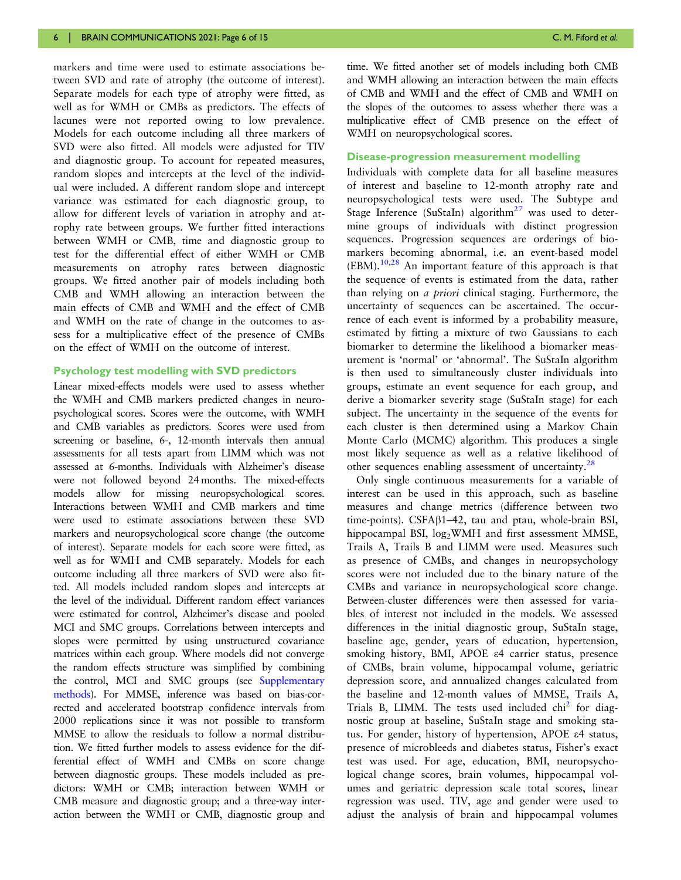<span id="page-5-0"></span>markers and time were used to estimate associations between SVD and rate of atrophy (the outcome of interest). Separate models for each type of atrophy were fitted, as well as for WMH or CMBs as predictors. The effects of lacunes were not reported owing to low prevalence. Models for each outcome including all three markers of SVD were also fitted. All models were adjusted for TIV and diagnostic group. To account for repeated measures, random slopes and intercepts at the level of the individual were included. A different random slope and intercept variance was estimated for each diagnostic group, to allow for different levels of variation in atrophy and atrophy rate between groups. We further fitted interactions between WMH or CMB, time and diagnostic group to test for the differential effect of either WMH or CMB measurements on atrophy rates between diagnostic groups. We fitted another pair of models including both CMB and WMH allowing an interaction between the main effects of CMB and WMH and the effect of CMB and WMH on the rate of change in the outcomes to assess for a multiplicative effect of the presence of CMBs on the effect of WMH on the outcome of interest.

#### Psychology test modelling with SVD predictors

Linear mixed-effects models were used to assess whether the WMH and CMB markers predicted changes in neuropsychological scores. Scores were the outcome, with WMH and CMB variables as predictors. Scores were used from screening or baseline, 6-, 12-month intervals then annual assessments for all tests apart from LIMM which was not assessed at 6-months. Individuals with Alzheimer's disease were not followed beyond 24 months. The mixed-effects models allow for missing neuropsychological scores. Interactions between WMH and CMB markers and time were used to estimate associations between these SVD markers and neuropsychological score change (the outcome of interest). Separate models for each score were fitted, as well as for WMH and CMB separately. Models for each outcome including all three markers of SVD were also fitted. All models included random slopes and intercepts at the level of the individual. Different random effect variances were estimated for control, Alzheimer's disease and pooled MCI and SMC groups. Correlations between intercepts and slopes were permitted by using unstructured covariance matrices within each group. Where models did not converge the random effects structure was simplified by combining the control, MCI and SMC groups (see [Supplementary](https://academic.oup.com/braincomms/article-lookup/doi/10.1093/braincomms/fcab226#supplementary-data) [methods](https://academic.oup.com/braincomms/article-lookup/doi/10.1093/braincomms/fcab226#supplementary-data)). For MMSE, inference was based on bias-corrected and accelerated bootstrap confidence intervals from 2000 replications since it was not possible to transform MMSE to allow the residuals to follow a normal distribution. We fitted further models to assess evidence for the differential effect of WMH and CMBs on score change between diagnostic groups. These models included as predictors: WMH or CMB; interaction between WMH or CMB measure and diagnostic group; and a three-way interaction between the WMH or CMB, diagnostic group and

time. We fitted another set of models including both CMB and WMH allowing an interaction between the main effects of CMB and WMH and the effect of CMB and WMH on the slopes of the outcomes to assess whether there was a multiplicative effect of CMB presence on the effect of WMH on neuropsychological scores.

#### Disease-progression measurement modelling

Individuals with complete data for all baseline measures of interest and baseline to 12-month atrophy rate and neuropsychological tests were used. The Subtype and Stage Inference (SuStaIn) algorithm<sup>[27](#page-13-0)</sup> was used to determine groups of individuals with distinct progression sequences. Progression sequences are orderings of biomarkers becoming abnormal, i.e. an event-based model  $(EBM).<sup>10,28</sup>$  $(EBM).<sup>10,28</sup>$  $(EBM).<sup>10,28</sup>$  An important feature of this approach is that the sequence of events is estimated from the data, rather than relying on a priori clinical staging. Furthermore, the uncertainty of sequences can be ascertained. The occurrence of each event is informed by a probability measure, estimated by fitting a mixture of two Gaussians to each biomarker to determine the likelihood a biomarker measurement is 'normal' or 'abnormal'. The SuStaIn algorithm is then used to simultaneously cluster individuals into groups, estimate an event sequence for each group, and derive a biomarker severity stage (SuStaIn stage) for each subject. The uncertainty in the sequence of the events for each cluster is then determined using a Markov Chain Monte Carlo (MCMC) algorithm. This produces a single most likely sequence as well as a relative likelihood of other sequences enabling assessment of uncertainty.<sup>[28](#page-13-0)</sup>

Only single continuous measurements for a variable of interest can be used in this approach, such as baseline measures and change metrics (difference between two time-points). CSFAb1–42, tau and ptau, whole-brain BSI, hippocampal BSI, log<sub>2</sub>WMH and first assessment MMSE, Trails A, Trails B and LIMM were used. Measures such as presence of CMBs, and changes in neuropsychology scores were not included due to the binary nature of the CMBs and variance in neuropsychological score change. Between-cluster differences were then assessed for variables of interest not included in the models. We assessed differences in the initial diagnostic group, SuStaIn stage, baseline age, gender, years of education, hypertension, smoking history, BMI, APOE e4 carrier status, presence of CMBs, brain volume, hippocampal volume, geriatric depression score, and annualized changes calculated from the baseline and 12-month values of MMSE, Trails A, Trials B, LIMM. The tests used included  $\chi$ hi<sup>2</sup> for diagnostic group at baseline, SuStaIn stage and smoking status. For gender, history of hypertension, APOE e4 status, presence of microbleeds and diabetes status, Fisher's exact test was used. For age, education, BMI, neuropsychological change scores, brain volumes, hippocampal volumes and geriatric depression scale total scores, linear regression was used. TIV, age and gender were used to adjust the analysis of brain and hippocampal volumes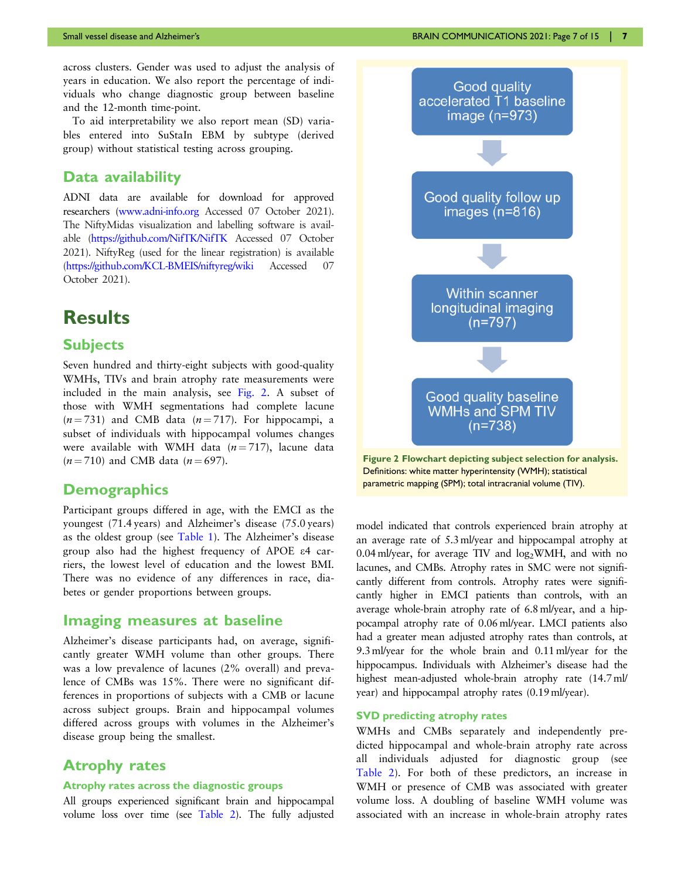across clusters. Gender was used to adjust the analysis of years in education. We also report the percentage of individuals who change diagnostic group between baseline and the 12-month time-point.

To aid interpretability we also report mean (SD) variables entered into SuStaIn EBM by subtype (derived group) without statistical testing across grouping.

## Data availability

ADNI data are available for download for approved researchers ([www.adni-info.org](http://www.adni-info.org) Accessed 07 October 2021). The NiftyMidas visualization and labelling software is available [\(https://github.com/NifTK/NifTK](https://github.com/NifTK/NifTK) Accessed 07 October 2021). NiftyReg (used for the linear registration) is available [\(https://github.com/KCL-BMEIS/niftyreg/wiki](https://github.com/KCL-BMEIS/niftyreg/wiki) Accessed 07 October 2021).

# **Results**

## **Subjects**

Seven hundred and thirty-eight subjects with good-quality WMHs, TIVs and brain atrophy rate measurements were included in the main analysis, see Fig. 2. A subset of those with WMH segmentations had complete lacune  $(n = 731)$  and CMB data  $(n = 717)$ . For hippocampi, a subset of individuals with hippocampal volumes changes were available with WMH data  $(n = 717)$ , lacune data  $(n = 710)$  and CMB data  $(n = 697)$ .

## **Demographics**

Participant groups differed in age, with the EMCI as the youngest (71.4 years) and Alzheimer's disease (75.0 years) as the oldest group (see [Table 1](#page-7-0)). The Alzheimer's disease group also had the highest frequency of APOE e4 carriers, the lowest level of education and the lowest BMI. There was no evidence of any differences in race, diabetes or gender proportions between groups.

## Imaging measures at baseline

Alzheimer's disease participants had, on average, significantly greater WMH volume than other groups. There was a low prevalence of lacunes (2% overall) and prevalence of CMBs was 15%. There were no significant differences in proportions of subjects with a CMB or lacune across subject groups. Brain and hippocampal volumes differed across groups with volumes in the Alzheimer's disease group being the smallest.

## Atrophy rates

#### Atrophy rates across the diagnostic groups

All groups experienced significant brain and hippocampal volume loss over time (see [Table 2\)](#page-8-0). The fully adjusted



Figure 2 Flowchart depicting subject selection for analysis. Definitions: white matter hyperintensity (WMH); statistical parametric mapping (SPM); total intracranial volume (TIV).

model indicated that controls experienced brain atrophy at an average rate of 5.3 ml/year and hippocampal atrophy at 0.04 ml/year, for average TIV and  $log_2$ WMH, and with no lacunes, and CMBs. Atrophy rates in SMC were not significantly different from controls. Atrophy rates were significantly higher in EMCI patients than controls, with an average whole-brain atrophy rate of 6.8 ml/year, and a hippocampal atrophy rate of 0.06 ml/year. LMCI patients also had a greater mean adjusted atrophy rates than controls, at 9.3 ml/year for the whole brain and 0.11 ml/year for the hippocampus. Individuals with Alzheimer's disease had the highest mean-adjusted whole-brain atrophy rate (14.7 ml/ year) and hippocampal atrophy rates (0.19 ml/year).

### SVD predicting atrophy rates

WMHs and CMBs separately and independently predicted hippocampal and whole-brain atrophy rate across all individuals adjusted for diagnostic group (see [Table 2\)](#page-8-0). For both of these predictors, an increase in WMH or presence of CMB was associated with greater volume loss. A doubling of baseline WMH volume was associated with an increase in whole-brain atrophy rates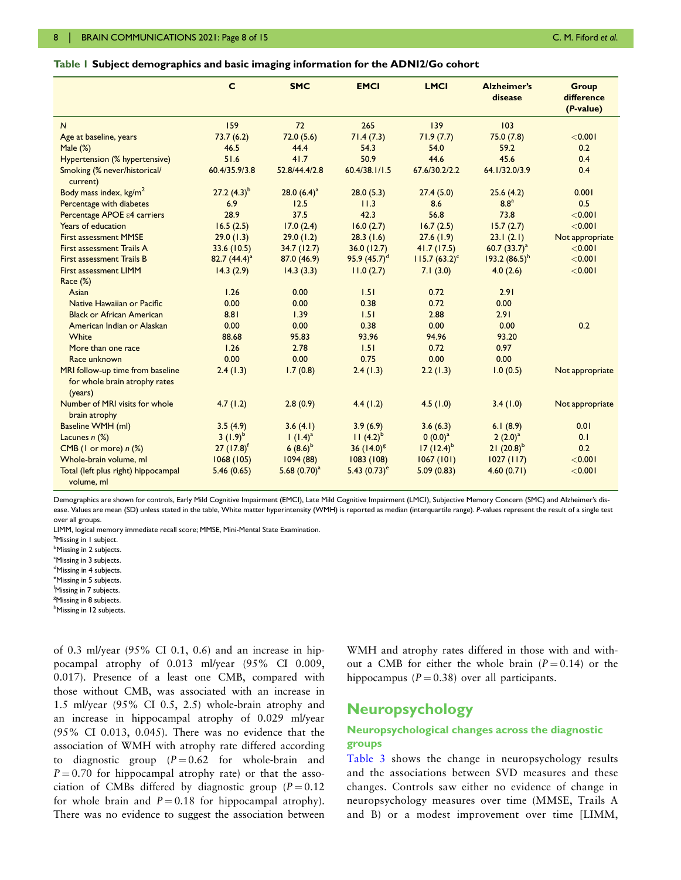#### <span id="page-7-0"></span>Table 1 Subject demographics and basic imaging information for the ADNI2/Go cohort

|                                                                              | $\mathbf c$              | <b>SMC</b>      | <b>EMCI</b>                | <b>LMCI</b>      | <b>Alzheimer's</b><br>disease | <b>Group</b><br>difference<br>(P-value) |
|------------------------------------------------------------------------------|--------------------------|-----------------|----------------------------|------------------|-------------------------------|-----------------------------------------|
| $\overline{N}$                                                               | 159                      | 72              | 265                        | 139              | 103                           |                                         |
| Age at baseline, years                                                       | 73.7(6.2)                | 72.0(5.6)       | 71.4(7.3)                  | 71.9(7.7)        | 75.0 (7.8)                    | < 0.001                                 |
| Male $(\%)$                                                                  | 46.5                     | 44.4            | 54.3                       | 54.0             | 59.2                          | 0.2                                     |
| Hypertension (% hypertensive)                                                | 51.6                     | 41.7            | 50.9                       | 44.6             | 45.6                          | 0.4                                     |
| Smoking (% never/historical/<br>current)                                     | 60.4/35.9/3.8            | 52.8/44.4/2.8   | 60.4/38.1/1.5              | 67.6/30.2/2.2    | 64.1/32.0/3.9                 | 0.4                                     |
| Body mass index, kg/m <sup>2</sup>                                           | 27.2 $(4.3)^{b}$         | 28.0 $(6.4)^a$  | 28.0(5.3)                  | 27.4(5.0)        | 25.6(4.2)                     | 0.001                                   |
| Percentage with diabetes                                                     | 6.9                      | 12.5            | 11.3                       | 8.6              | 8.8 <sup>a</sup>              | 0.5                                     |
| Percentage APOE $\varepsilon$ 4 carriers                                     | 28.9                     | 37.5            | 42.3                       | 56.8             | 73.8                          | < 0.001                                 |
| Years of education                                                           | 16.5(2.5)                | 17.0(2.4)       | 16.0(2.7)                  | 16.7(2.5)        | 15.7(2.7)                     | < 0.001                                 |
| <b>First assessment MMSE</b>                                                 | 29.0(1.3)                | 29.0(1.2)       | 28.3(1.6)                  | 27.6(1.9)        | 23.1(2.1)                     | Not appropriate                         |
| First assessment Trails A                                                    | 33.6(10.5)               | 34.7(12.7)      | 36.0(12.7)                 | 41.7(17.5)       | 60.7 $(33.7)^a$               | < 0.001                                 |
| <b>First assessment Trails B</b>                                             | 82.7 $(44.4)^a$          | 87.0 (46.9)     | 95.9 $(45.7)^d$            | $115.7 (63.2)^c$ | $193.2(86.5)^h$               | < 0.001                                 |
| First assessment LIMM                                                        | 14.3(2.9)                | 14.3(3.3)       | 11.0(2.7)                  | 7.1(3.0)         | 4.0(2.6)                      | < 0.001                                 |
| Race (%)                                                                     |                          |                 |                            |                  |                               |                                         |
| Asian                                                                        | 1.26                     | 0.00            | 1.51                       | 0.72             | 2.91                          |                                         |
| Native Hawaiian or Pacific                                                   | 0.00                     | 0.00            | 0.38                       | 0.72             | 0.00                          |                                         |
| <b>Black or African American</b>                                             | 8.81                     | 1.39            | 1.51                       | 2.88             | 2.91                          |                                         |
| American Indian or Alaskan                                                   | 0.00                     | 0.00            | 0.38                       | 0.00             | 0.00                          | 0.2                                     |
| White                                                                        | 88.68                    | 95.83           | 93.96                      | 94.96            | 93.20                         |                                         |
| More than one race                                                           | 1.26                     | 2.78            | 1.51                       | 0.72             | 0.97                          |                                         |
| Race unknown                                                                 | 0.00                     | 0.00            | 0.75                       | 0.00             | 0.00                          |                                         |
| MRI follow-up time from baseline<br>for whole brain atrophy rates<br>(years) | 2.4(1.3)                 | 1.7(0.8)        | 2.4(1.3)                   | 2.2(1.3)         | 1.0(0.5)                      | Not appropriate                         |
| Number of MRI visits for whole<br>brain atrophy                              | 4.7(1.2)                 | 2.8(0.9)        | 4.4(1.2)                   | 4.5(1.0)         | 3.4(1.0)                      | Not appropriate                         |
| Baseline WMH (ml)                                                            | 3.5(4.9)                 | 3.6(4.1)        | 3.9(6.9)                   | 3.6(6.3)         | 6.1(8.9)                      | 0.01                                    |
| Lacunes $n$ (%)                                                              | $3(1.9)^b$               | $(1.4)^a$       | $11 (4.2)^{b}$             | $(0.0)^a$        | $(2.0)^a$                     | 0.1                                     |
| CMB (1 or more) $n$ (%)                                                      | $27$ (17.8) <sup>f</sup> | $6(8.6)^{b}$    | 36 $(14.0)^8$              | $17 (12.4)^b$    | 21 $(20.8)^{b}$               | 0.2                                     |
| Whole-brain volume, ml                                                       | 1068(105)                | 1094(88)        | 1083(108)                  | 1067(101)        | 1027(117)                     | < 0.001                                 |
| Total (left plus right) hippocampal<br>volume, ml                            | 5.46(0.65)               | 5.68 $(0.70)^a$ | 5.43 $(0.73)$ <sup>e</sup> | 5.09(0.83)       | 4.60(0.71)                    | < 0.001                                 |

Demographics are shown for controls, Early Mild Cognitive Impairment (EMCI), Late Mild Cognitive Impairment (LMCI), Subjective Memory Concern (SMC) and Alzheimer's disease. Values are mean (SD) unless stated in the table, White matter hyperintensity (WMH) is reported as median (interquartile range). P-values represent the result of a single test over all groups.

LIMM, logical memory immediate recall score; MMSE, Mini-Mental State Examination.

<sup>a</sup>Missing in 1 subject.

<sup>b</sup>Missing in 2 subjects.

<sup>c</sup>Missing in 3 subjects.

<sup>d</sup>Missing in 4 subjects.

<sup>e</sup>Missing in 5 subjects.

f Missing in 7 subjects.

<sup>g</sup>Missing in 8 subjects.

<sup>h</sup>Missing in 12 subjects.

of 0.3 ml/year (95% CI 0.1, 0.6) and an increase in hippocampal atrophy of 0.013 ml/year (95% CI 0.009, 0.017). Presence of a least one CMB, compared with those without CMB, was associated with an increase in 1.5 ml/year (95% CI 0.5, 2.5) whole-brain atrophy and an increase in hippocampal atrophy of 0.029 ml/year (95% CI 0.013, 0.045). There was no evidence that the association of WMH with atrophy rate differed according to diagnostic group  $(P=0.62$  for whole-brain and  $P = 0.70$  for hippocampal atrophy rate) or that the association of CMBs differed by diagnostic group ( $P = 0.12$ ) for whole brain and  $P = 0.18$  for hippocampal atrophy). There was no evidence to suggest the association between

WMH and atrophy rates differed in those with and without a CMB for either the whole brain  $(P = 0.14)$  or the hippocampus ( $P = 0.38$ ) over all participants.

## Neuropsychology

### Neuropsychological changes across the diagnostic groups

[Table 3](#page-9-0) shows the change in neuropsychology results and the associations between SVD measures and these changes. Controls saw either no evidence of change in neuropsychology measures over time (MMSE, Trails A and B) or a modest improvement over time [LIMM,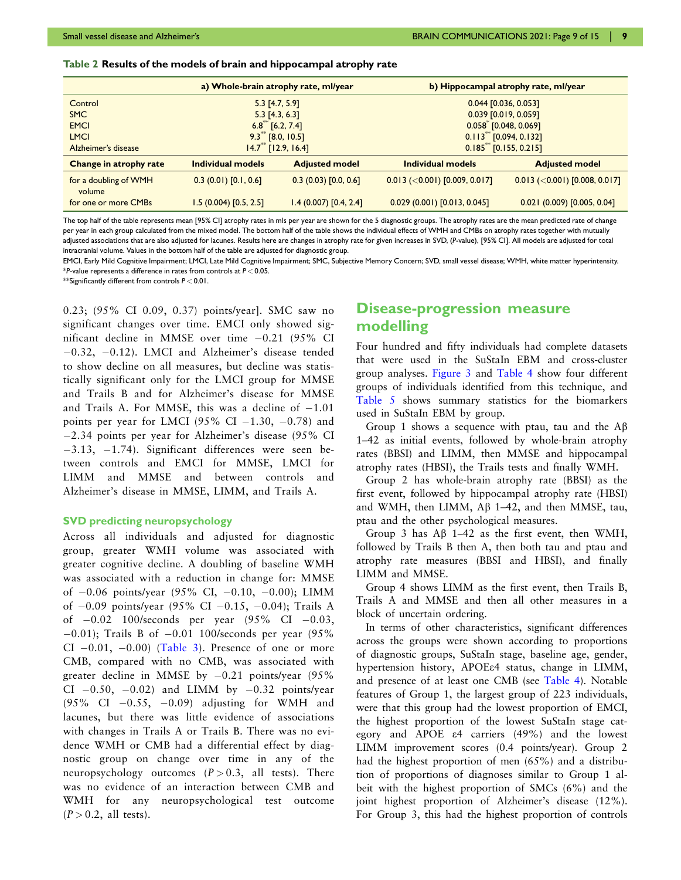#### <span id="page-8-0"></span>Table 2 Results of the models of brain and hippocampal atrophy rate

|                                 | a) Whole-brain atrophy rate, ml/year |                       | b) Hippocampal atrophy rate, ml/year |                                 |  |
|---------------------------------|--------------------------------------|-----------------------|--------------------------------------|---------------------------------|--|
| Control                         | $5.3$ [4.7, 5.9]                     |                       | $0.044$ [0.036, 0.053]               |                                 |  |
| <b>SMC</b>                      | $5.3$ [4.3, 6.3]                     |                       |                                      | 0.039 [0.019, 0.059]            |  |
| <b>EMCI</b>                     | $6.8^{\circ\circ}$ [6.2, 7.4]        |                       | $0.058$ [0.048, 0.069]               |                                 |  |
| <b>LMCI</b>                     | $9.3$ <sup>**</sup> [8.0, 10.5]      |                       | $0.113^{**}$ [0.094, 0.132]          |                                 |  |
| Alzheimer's disease             | $14.7^{\ast\ast}$ [12.9, 16.4]       |                       | $0.185**$ [0.155, 0.215]             |                                 |  |
| Change in atrophy rate          | Individual models                    | <b>Adjusted model</b> | Individual models                    | <b>Adjusted model</b>           |  |
| for a doubling of WMH<br>volume | 0.3(0.01)[0.1, 0.6]                  | 0.3(0.03)[0.0, 0.6]   | $0.013$ (<0.001) [0.009, 0.017]      | $0.013$ (<0.001) [0.008, 0.017] |  |
| for one or more CMBs            | 1.5(0.004)[0.5, 2.5]                 | 1.4(0.007)[0.4, 2.4]  | 0.029(0.001)[0.013, 0.045]           | 0.021(0.009)[0.005, 0.04]       |  |

The top half of the table represents mean [95% CI] atrophy rates in mls per year are shown for the 5 diagnostic groups. The atrophy rates are the mean predicted rate of change per year in each group calculated from the mixed model. The bottom half of the table shows the individual effects of WMH and CMBs on atrophy rates together with mutually adjusted associations that are also adjusted for lacunes. Results here are changes in atrophy rate for given increases in SVD, (P-value), [95% CI]. All models are adjusted for total intracranial volume. Values in the bottom half of the table are adjusted for diagnostic group.

EMCI, Early Mild Cognitive Impairment; LMCI, Late Mild Cognitive Impairment; SMC, Subjective Memory Concern; SVD, small vessel disease; WMH, white matter hyperintensity. \*P-value represents a difference in rates from controls at  $P < 0.05$ .

\*\*Significantly different from controls  $P < 0.01$ .

0.23; (95% CI 0.09, 0.37) points/year]. SMC saw no significant changes over time. EMCI only showed significant decline in MMSE over time  $-0.21$  (95% CI  $-0.32$ ,  $-0.12$ ). LMCI and Alzheimer's disease tended to show decline on all measures, but decline was statistically significant only for the LMCI group for MMSE and Trails B and for Alzheimer's disease for MMSE and Trails A. For MMSE, this was a decline of  $-1.01$ points per year for LMCI (95% CI  $-1.30$ ,  $-0.78$ ) and 2.34 points per year for Alzheimer's disease (95% CI  $-3.13$ ,  $-1.74$ ). Significant differences were seen between controls and EMCI for MMSE, LMCI for LIMM and MMSE and between controls and Alzheimer's disease in MMSE, LIMM, and Trails A.

#### SVD predicting neuropsychology

Across all individuals and adjusted for diagnostic group, greater WMH volume was associated with greater cognitive decline. A doubling of baseline WMH was associated with a reduction in change for: MMSE of  $-0.06$  points/year (95% CI,  $-0.10$ ,  $-0.00$ ); LIMM of  $-0.09$  points/year (95% CI  $-0.15$ ,  $-0.04$ ); Trails A of  $-0.02$  100/seconds per year (95% CI  $-0.03$ ,  $-0.01$ ); Trails B of  $-0.01$  100/seconds per year (95%) CI  $-0.01$ ,  $-0.00$ ) [\(Table 3\)](#page-9-0). Presence of one or more CMB, compared with no CMB, was associated with greater decline in MMSE by  $-0.21$  points/year (95%) CI  $-0.50$ ,  $-0.02$ ) and LIMM by  $-0.32$  points/year  $(95\% \text{ CI} -0.55, -0.09)$  adjusting for WMH and lacunes, but there was little evidence of associations with changes in Trails A or Trails B. There was no evidence WMH or CMB had a differential effect by diagnostic group on change over time in any of the neuropsychology outcomes  $(P > 0.3$ , all tests). There was no evidence of an interaction between CMB and WMH for any neuropsychological test outcome  $(P > 0.2$ , all tests).

## Disease-progression measure modelling

Four hundred and fifty individuals had complete datasets that were used in the SuStaIn EBM and cross-cluster group analyses. [Figure 3](#page-10-0) and [Table 4](#page-11-0) show four different groups of individuals identified from this technique, and [Table 5](#page-11-0) shows summary statistics for the biomarkers used in SuStaIn EBM by group.

Group 1 shows a sequence with ptau, tau and the  $AB$ 1–42 as initial events, followed by whole-brain atrophy rates (BBSI) and LIMM, then MMSE and hippocampal atrophy rates (HBSI), the Trails tests and finally WMH.

Group 2 has whole-brain atrophy rate (BBSI) as the first event, followed by hippocampal atrophy rate (HBSI) and WMH, then LIMM, A<sub>B</sub> 1–42, and then MMSE, tau, ptau and the other psychological measures.

Group 3 has  $\text{AB } 1-42$  as the first event, then WMH, followed by Trails B then A, then both tau and ptau and atrophy rate measures (BBSI and HBSI), and finally LIMM and MMSE.

Group 4 shows LIMM as the first event, then Trails B, Trails A and MMSE and then all other measures in a block of uncertain ordering.

In terms of other characteristics, significant differences across the groups were shown according to proportions of diagnostic groups, SuStaIn stage, baseline age, gender, hypertension history, APOEe4 status, change in LIMM, and presence of at least one CMB (see [Table 4\)](#page-11-0). Notable features of Group 1, the largest group of 223 individuals, were that this group had the lowest proportion of EMCI, the highest proportion of the lowest SuStaIn stage category and APOE e4 carriers (49%) and the lowest LIMM improvement scores (0.4 points/year). Group 2 had the highest proportion of men (65%) and a distribution of proportions of diagnoses similar to Group 1 albeit with the highest proportion of SMCs (6%) and the joint highest proportion of Alzheimer's disease (12%). For Group 3, this had the highest proportion of controls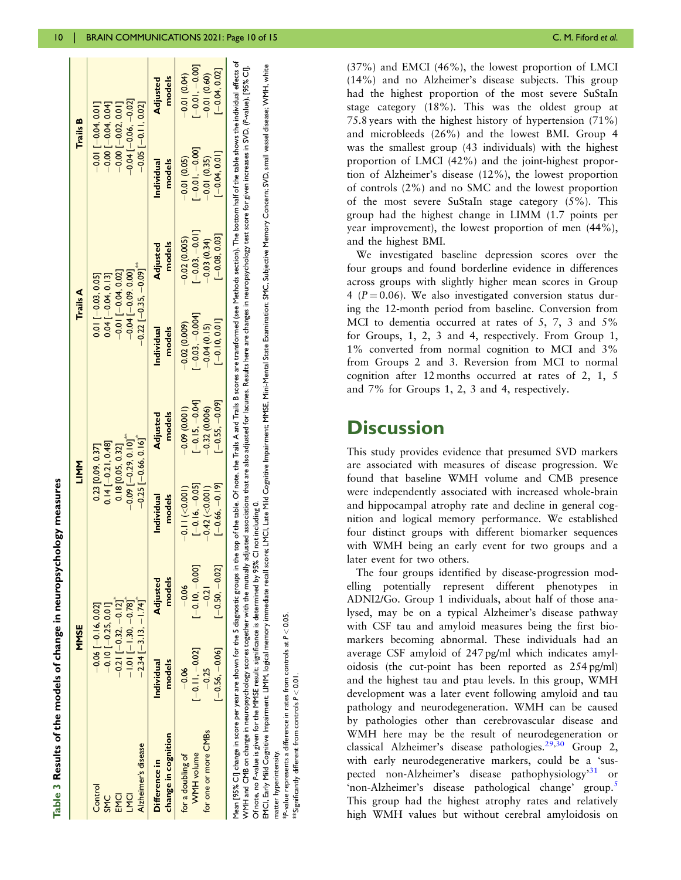<span id="page-9-0"></span>

|                                                                                     | MMSE                                       |                    | NNLI                      |                                                                                                                                                                 | <b>Trails A</b>              |                    | Trails B                      |                       |
|-------------------------------------------------------------------------------------|--------------------------------------------|--------------------|---------------------------|-----------------------------------------------------------------------------------------------------------------------------------------------------------------|------------------------------|--------------------|-------------------------------|-----------------------|
| Control                                                                             | $-0.06$ [ $-0.16$ , $0.02$ ]               |                    | 0.23 [0.09, 0.37]         |                                                                                                                                                                 | $0.01$ [ $-0.03$ , $0.05$ ]  |                    | $-0.01$ $-0.04$ , 0.0 $-1$    |                       |
| <b>SMC</b>                                                                          | $-0.10[-0.25, 0.01]$                       |                    | $0.14[-0.21, 0.48]$       |                                                                                                                                                                 | $0.04$ [ $-0.04$ , 0.13]     |                    | $-0.00$ [ $-0.04$ , 0.04]     |                       |
| <b>EMCI</b>                                                                         | $-0.21$ [ $-0.32, -0.12$ ]                 |                    | 0.18 [0.05, 0.32]         |                                                                                                                                                                 | $-0.01$ [ $-0.04$ , $0.02$ ] |                    | $-0.00$ [ $-0.02$ , 0.01]     |                       |
| LMCI                                                                                | $-1.01$ [-1.30, $-0.78$ ]                  |                    | $-0.09$ [ $-0.29, 0.101$  |                                                                                                                                                                 | $-0.04$ [ $-0.09$ .0.00]     |                    | $-0.04$ [ $-0.06$ . $-0.02$ ] |                       |
| Alzheimer's disease                                                                 | $-2.34$ [ $-3.13$ , $-1.74$ ] <sup>*</sup> |                    | $-0.25$ [ $-0.66, 0.16$ ] |                                                                                                                                                                 | $-0.22$ [ $-0.35, -0.09$ ]   |                    | $-0.05$ [ $-0.11, 0.02$ ]     |                       |
| change in cognition<br>Difference in                                                | models<br>Individual                       | models<br>Adjusted | models<br>Individual      | models<br>Adjusted                                                                                                                                              | models<br>Individual         | models<br>Adjusted | models<br>Individual          | models<br>Adjusted    |
| for a doubling of                                                                   | $-0.06$                                    | $-0.06$            | $-0.11$ ( $<$ 0.001)      | $-0.09(0.001)$                                                                                                                                                  | $-0.02(0.009)$               | $-0.02(0.005)$     | $-0.01(0.05)$                 | $-0.01(0.04)$         |
| WMH volume                                                                          | $[-0.11, -0.02]$                           | $[-0.10,-0.00]$    | $[-0.16, -0.05]$          | $[-0.15, -0.04]$                                                                                                                                                | $[-0.03, -0.004]$            | $[-0.03, -0.01]$   | $[-0.01, -0.00]$              | $\frac{-0.01}{-0.00}$ |
| for one or more CMBs                                                                | $-0.25$                                    | $-0.21$            | $-0.42$ (<0.001)          | $-0.32(0.006)$                                                                                                                                                  | $-0.04(0.15)$                | $-0.03(0.34)$      | $-0.01(0.35)$                 | $-0.01(0.60)$         |
|                                                                                     | $[-0.56, -0.06]$                           | $-0.50, -0.02$     | $[-0.66, -0.19]$          | $[-0.55, -0.09]$                                                                                                                                                | $[-0.10, 0.01]$              | $[-0.08, 0.03]$    | $-0.04, 0.01$                 | $[-0.04, 0.02]$       |
| 1ean [95% CI] change in score per year are shown for the 5 diagnostic groups in the |                                            |                    |                           | top of the table. Of note, the Trails A and Trails B scores are transformed (see Methods section). The bottom half of the table shows the individual effects of |                              |                    |                               |                       |

Table 3 Results of the models of change in neuropsychology measures

Results of the models of change in neuropsychology measures

WMH and CMB on change in neuropsychology scores together with the mutually adjusted associations that are also adjusted for lacunes. Results here are changes in neuropsychology test score for given increases in SVD, (P-val WMH and CMB on change in neuropsychology scores together with the mutually adjusted associations that are allos adjusted for lacunes. Results here are changes in neuropsychology test score for given increases in SVD, (P-va Of note, no P-value is given for the MMSE result; significance is determined by 95% CI not including 0. Of note, no P-value is given for the MMSE result; significance is determined by 95% CI not including 0.

EMCI, Early Mild Cognitive Impairment: LIMM, logical memory immediate recall score; LMCI, Late Mild Cognitive Impairment; MMSE, Mini-Mental State Examination; SMC, Subjective Memory Concern; SVD, small vessel disease; WMH, EMCI, Barly Mild Cognitive Impairment: LIMM, logical memory immediate recall score; LMCI, Late Mild Cognitive Impairment; MKSE, Mini-Mental State Examination; SMC, Subjective Memory Concern; SVD, small vessel disease; WMH, matter hyperintensity. matter hyperintensity.

 $*$ P-value represents a difference in rates from controls at  $P < 0.05$ .  $k$ P-value represents a difference in rates from controls at  $P < 0.05$ 

\*\*Significantly different from controls P < 0.01. <sup>Ex</sup>Significantly different from controls  $P < 0.0$  (37%) and EMCI (46%), the lowest proportion of LMCI (14%) and no Alzheimer's disease subjects. This group had the highest proportion of the most severe SuStaIn stage category (18%). This was the oldest group at 75.8 years with the highest history of hypertension (71%) and microbleeds (26%) and the lowest BMI. Group 4 was the smallest group (43 individuals) with the highest proportion of LMCI (42%) and the joint-highest proportion of Alzheimer's disease (12%), the lowest proportion of controls (2%) and no SMC and the lowest proportion of the most severe SuStaIn stage category (5%). This group had the highest change in LIMM (1.7 points per year improvement), the lowest proportion of men (44%), and the highest BMI.

We investigated baseline depression scores over the four groups and found borderline evidence in differences across groups with slightly higher mean scores in Group 4 ( $P = 0.06$ ). We also investigated conversion status during the 12-month period from baseline. Conversion from MCI to dementia occurred at rates of 5, 7, 3 and 5% for Groups, 1, 2, 3 and 4, respectively. From Group 1, 1% converted from normal cognition to MCI and 3% from Groups 2 and 3. Reversion from MCI to normal cognition after 12 months occurred at rates of 2, 1, 5 and 7% for Groups 1, 2, 3 and 4, respectively.

# **Discussion**

This study provides evidence that presumed SVD markers are associated with measures of disease progression. We found that baseline WMH volume and CMB presence were independently associated with increased whole-brain and hippocampal atrophy rate and decline in general cognition and logical memory performance. We established four distinct groups with different biomarker sequences with WMH being an early event for two groups and a later event for two others.

The four groups identified by disease-progression modelling potentially represent different phenotypes in ADNI2/Go. Group 1 individuals, about half of those analysed, may be on a typical Alzheimer's disease pathway with CSF tau and amyloid measures being the first biomarkers becoming abnormal. These individuals had an average CSF amyloid of 247 pg/ml which indicates amyloidosis (the cut-point has been reported as 254 pg/ml) and the highest tau and ptau levels. In this group, WMH development was a later event following amyloid and tau pathology and neurodegeneration. WMH can be caused by pathologies other than cerebrovascular disease and WMH here may be the result of neurodegeneration or classical Alzheimer's disease pathologies.<sup>[29](#page-13-0),[30](#page-13-0)</sup> Group 2, with early neurodegenerative markers, could be a 'sus-pected non-Alzheimer's disease pathophysiology<sup>[31](#page-13-0)</sup> or 'non-Alzheimer's disease pathological change' group.<sup>[5](#page-13-0)</sup> This group had the highest atrophy rates and relatively high WMH values but without cerebral amyloidosis on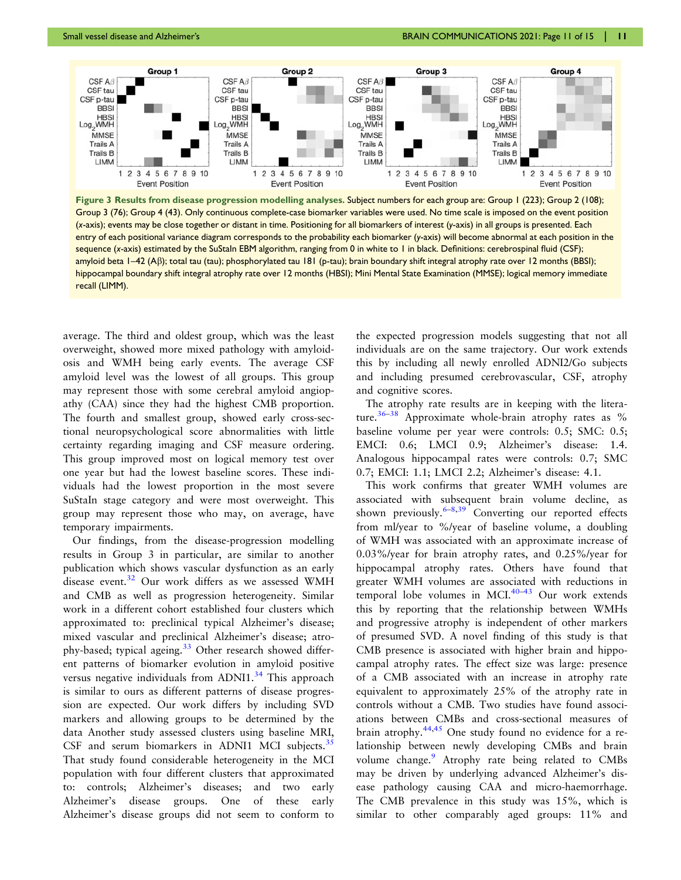<span id="page-10-0"></span>

Figure 3 Results from disease progression modelling analyses. Subject numbers for each group are: Group 1 (223); Group 2 (108); Group 3 (76); Group 4 (43). Only continuous complete-case biomarker variables were used. No time scale is imposed on the event position (x-axis); events may be close together or distant in time. Positioning for all biomarkers of interest (y-axis) in all groups is presented. Each entry of each positional variance diagram corresponds to the probability each biomarker (y-axis) will become abnormal at each position in the sequence (x-axis) estimated by the SuStaIn EBM algorithm, ranging from 0 in white to 1 in black. Definitions: cerebrospinal fluid (CSF); amyloid beta 1–42 (Aß); total tau (tau); phosphorylated tau 181 (p-tau); brain boundary shift integral atrophy rate over 12 months (BBSI); hippocampal boundary shift integral atrophy rate over 12 months (HBSI); Mini Mental State Examination (MMSE); logical memory immediate recall (LIMM).

average. The third and oldest group, which was the least overweight, showed more mixed pathology with amyloidosis and WMH being early events. The average CSF amyloid level was the lowest of all groups. This group may represent those with some cerebral amyloid angiopathy (CAA) since they had the highest CMB proportion. The fourth and smallest group, showed early cross-sectional neuropsychological score abnormalities with little certainty regarding imaging and CSF measure ordering. This group improved most on logical memory test over one year but had the lowest baseline scores. These individuals had the lowest proportion in the most severe SuStaIn stage category and were most overweight. This group may represent those who may, on average, have temporary impairments.

Our findings, from the disease-progression modelling results in Group 3 in particular, are similar to another publication which shows vascular dysfunction as an early disease event.<sup>[32](#page-13-0)</sup> Our work differs as we assessed WMH and CMB as well as progression heterogeneity. Similar work in a different cohort established four clusters which approximated to: preclinical typical Alzheimer's disease; mixed vascular and preclinical Alzheimer's disease; atro-phy-based; typical ageing.<sup>[33](#page-13-0)</sup> Other research showed different patterns of biomarker evolution in amyloid positive versus negative individuals from ADNI1.<sup>[34](#page-13-0)</sup> This approach is similar to ours as different patterns of disease progression are expected. Our work differs by including SVD markers and allowing groups to be determined by the data Another study assessed clusters using baseline MRI, CSF and serum biomarkers in ADNI1 MCI subjects. $35$ That study found considerable heterogeneity in the MCI population with four different clusters that approximated to: controls; Alzheimer's diseases; and two early Alzheimer's disease groups. One of these early Alzheimer's disease groups did not seem to conform to the expected progression models suggesting that not all individuals are on the same trajectory. Our work extends this by including all newly enrolled ADNI2/Go subjects and including presumed cerebrovascular, CSF, atrophy and cognitive scores.

The atrophy rate results are in keeping with the litera-ture.<sup>[36](#page-14-0)–[38](#page-14-0)</sup> Approximate whole-brain atrophy rates as  $\%$ baseline volume per year were controls: 0.5; SMC: 0.5; EMCI: 0.6; LMCI 0.9; Alzheimer's disease: 1.4. Analogous hippocampal rates were controls: 0.7; SMC 0.7; EMCI: 1.1; LMCI 2.2; Alzheimer's disease: 4.1.

This work confirms that greater WMH volumes are associated with subsequent brain volume decline, as shown previously.  $6-8,39$  $6-8,39$  $6-8,39$  $6-8,39$  Converting our reported effects from ml/year to %/year of baseline volume, a doubling of WMH was associated with an approximate increase of 0.03%/year for brain atrophy rates, and 0.25%/year for hippocampal atrophy rates. Others have found that greater WMH volumes are associated with reductions in temporal lobe volumes in MCI. $40-43$  Our work extends this by reporting that the relationship between WMHs and progressive atrophy is independent of other markers of presumed SVD. A novel finding of this study is that CMB presence is associated with higher brain and hippocampal atrophy rates. The effect size was large: presence of a CMB associated with an increase in atrophy rate equivalent to approximately 25% of the atrophy rate in controls without a CMB. Two studies have found associations between CMBs and cross-sectional measures of brain atrophy. $44,45$  One study found no evidence for a relationship between newly developing CMBs and brain volume change.<sup>[9](#page-13-0)</sup> Atrophy rate being related to CMBs may be driven by underlying advanced Alzheimer's disease pathology causing CAA and micro-haemorrhage. The CMB prevalence in this study was 15%, which is similar to other comparably aged groups: 11% and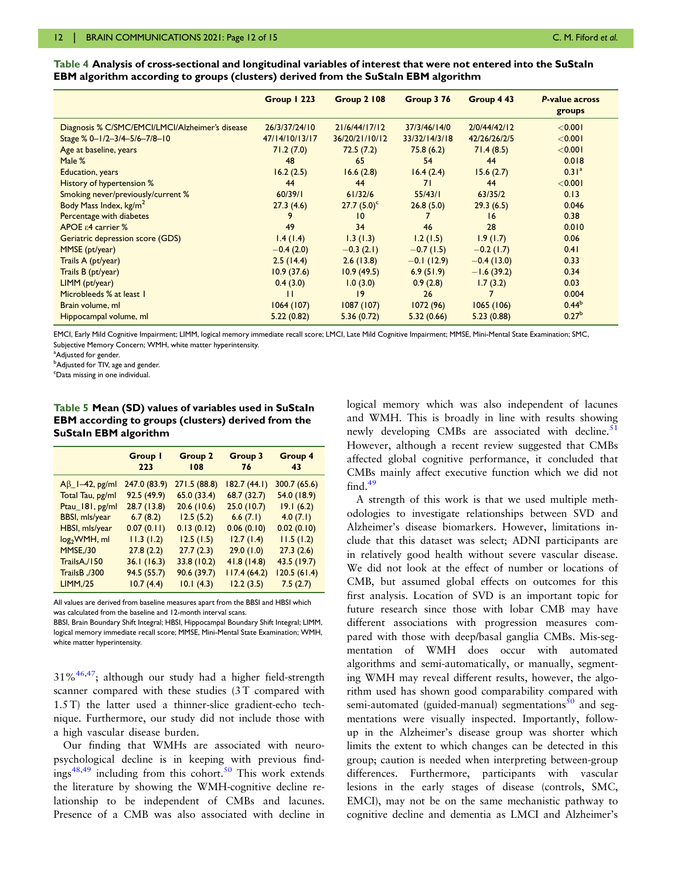|                                                 | Group   223    | <b>Group 2 108</b> | Group 3 76    | Group 4 43   | P-value across<br>groups |
|-------------------------------------------------|----------------|--------------------|---------------|--------------|--------------------------|
| Diagnosis % C/SMC/EMCI/LMCI/Alzheimer's disease | 26/3/37/24/10  | 21/6/44/17/12      | 37/3/46/14/0  | 2/0/44/42/12 | < 0.001                  |
| Stage % 0-1/2-3/4-5/6-7/8-10                    | 47/14/10/13/17 | 36/20/21/10/12     | 33/32/14/3/18 | 42/26/26/2/5 | < 0.001                  |
| Age at baseline, years                          | 71.2(7.0)      | 72.5(7.2)          | 75.8(6.2)     | 71.4(8.5)    | < 0.001                  |
| Male %                                          | 48             | 65                 | 54            | 44           | 0.018                    |
| Education, years                                | 16.2(2.5)      | 16.6(2.8)          | 16.4(2.4)     | 15.6(2.7)    | 0.31 <sup>a</sup>        |
| History of hypertension %                       | 44             | 44                 | 71            | 44           | < 0.001                  |
| Smoking never/previously/current %              | 60/39/1        | 61/32/6            | 55/43/1       | 63/35/2      | 0.13                     |
| Body Mass Index, kg/m <sup>2</sup>              | 27.3(4.6)      | $27.7(5.0)^c$      | 26.8(5.0)     | 29.3(6.5)    | 0.046                    |
| Percentage with diabetes                        | 9              | 10                 |               | 16           | 0.38                     |
| APOE $\varepsilon$ 4 carrier %                  | 49             | 34                 | 46            | 28           | 0.010                    |
| Geriatric depression score (GDS)                | 1.4(1.4)       | 1.3(1.3)           | 1.2(1.5)      | 1.9(1.7)     | 0.06                     |
| MMSE (pt/year)                                  | $-0.4(2.0)$    | $-0.3(2.1)$        | $-0.7(1.5)$   | $-0.2(1.7)$  | 0.41                     |
| Trails A (pt/year)                              | 2.5(14.4)      | 2.6(13.8)          | $-0.1(12.9)$  | $-0.4(13.0)$ | 0.33                     |
| Trails B (pt/year)                              | 10.9(37.6)     | 10.9(49.5)         | 6.9(51.9)     | $-1.6(39.2)$ | 0.34                     |
| LIMM (pt/year)                                  | 0.4(3.0)       | 1.0(3.0)           | 0.9(2.8)      | 1.7(3.2)     | 0.03                     |
| Microbleeds % at least 1                        | ' '            | 19                 | 26            |              | 0.004                    |
| Brain volume, ml                                | 1064(107)      | 1087(107)          | 1072(96)      | 1065(106)    | $0.44^{b}$               |
| Hippocampal volume, ml                          | 5.22(0.82)     | 5.36(0.72)         | 5.32(0.66)    | 5.23(0.88)   | 0.27 <sup>b</sup>        |

<span id="page-11-0"></span>Table 4 Analysis of cross-sectional and longitudinal variables of interest that were not entered into the SuStaIn EBM algorithm according to groups (clusters) derived from the SuStaIn EBM algorithm

EMCI, Early Mild Cognitive Impairment; LIMM, logical memory immediate recall score; LMCI, Late Mild Cognitive Impairment; MMSE, Mini-Mental State Examination; SMC, Subjective Memory Concern; WMH, white matter hyperintensity.

<sup>a</sup>Adjusted for gender.

 $^{\rm b}$ Adjusted for TIV, age and gender.

<sup>c</sup>Data missing in one individual.

#### Table 5 Mean (SD) values of variables used in SuStaIn EBM according to groups (clusters) derived from the SuStaIn EBM algorithm

|                                 | Group I<br>223 | <b>Group 2</b><br>108 | Group 3<br>-76 | Group 4<br>43 |
|---------------------------------|----------------|-----------------------|----------------|---------------|
| $A\beta$ <sup>-42</sup> , pg/ml | 247.0 (83.9)   | 271.5 (88.8)          | 182.7(44.1)    | 300.7 (65.6)  |
| Total Tau, pg/ml                | 92.5(49.9)     | 65.0 (33.4)           | 68.7 (32.7)    | 54.0 (18.9)   |
| Ptau_181, pg/ml                 | 28.7(13.8)     | 20.6 (10.6)           | 25.0(10.7)     | 19.1(6.2)     |
| BBSI, mls/year                  | 6.7(8.2)       | 12.5(5.2)             | 6.6(7.1)       | 4.0(7.1)      |
| HBSI, mls/year                  | 0.07(0.11)     | 0.13(0.12)            | 0.06(0.10)     | 0.02(0.10)    |
| $log2WH$ , ml                   | 11.3(1.2)      | 12.5(1.5)             | 12.7(1.4)      | 11.5(1.2)     |
| MMSE,/30                        | 27.8(2.2)      | 27.7(2.3)             | 29.0(1.0)      | 27.3(2.6)     |
| TrailsA,/150                    | 36.1(16.3)     | 33.8 (10.2)           | 41.8(14.8)     | 43.5 (19.7)   |
| 700, TrailsB                    | 94.5 (55.7)    | 90.6 (39.7)           | 117.4(64.2)    | 120.5(61.4)   |
| <b>LIMM,/25</b>                 | 10.7(4.4)      | 10.1(4.3)             | 12.2(3.5)      | 7.5(2.7)      |

All values are derived from baseline measures apart from the BBSI and HBSI which was calculated from the baseline and 12-month interval scans.

BBSI, Brain Boundary Shift Integral; HBSI, Hippocampal Boundary Shift Integral; LIMM, logical memory immediate recall score; MMSE, Mini-Mental State Examination; WMH, white matter hyperintensity.

 $31\%$ <sup>46,47</sup>; although our study had a higher field-strength scanner compared with these studies (3T compared with 1.5 T) the latter used a thinner-slice gradient-echo technique. Furthermore, our study did not include those with a high vascular disease burden.

Our finding that WMHs are associated with neuropsychological decline is in keeping with previous find-ings<sup>[48,49](#page-14-0)</sup> including from this cohort.<sup>[50](#page-14-0)</sup> This work extends the literature by showing the WMH-cognitive decline relationship to be independent of CMBs and lacunes. Presence of a CMB was also associated with decline in

logical memory which was also independent of lacunes and WMH. This is broadly in line with results showing newly developing CMBs are associated with decline. $51$ However, although a recent review suggested that CMBs affected global cognitive performance, it concluded that CMBs mainly affect executive function which we did not  $find.<sup>49</sup>$  $find.<sup>49</sup>$  $find.<sup>49</sup>$ 

A strength of this work is that we used multiple methodologies to investigate relationships between SVD and Alzheimer's disease biomarkers. However, limitations include that this dataset was select; ADNI participants are in relatively good health without severe vascular disease. We did not look at the effect of number or locations of CMB, but assumed global effects on outcomes for this first analysis. Location of SVD is an important topic for future research since those with lobar CMB may have different associations with progression measures compared with those with deep/basal ganglia CMBs. Mis-segmentation of WMH does occur with automated algorithms and semi-automatically, or manually, segmenting WMH may reveal different results, however, the algorithm used has shown good comparability compared with semi-automated (guided-manual) segmentations $^{50}$  and segmentations were visually inspected. Importantly, followup in the Alzheimer's disease group was shorter which limits the extent to which changes can be detected in this group; caution is needed when interpreting between-group differences. Furthermore, participants with vascular lesions in the early stages of disease (controls, SMC, EMCI), may not be on the same mechanistic pathway to cognitive decline and dementia as LMCI and Alzheimer's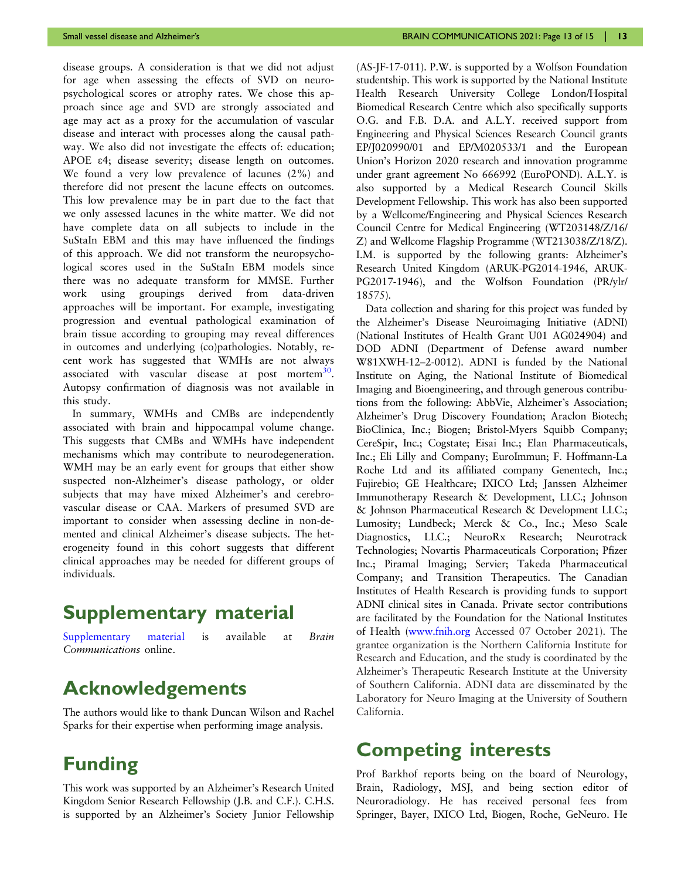disease groups. A consideration is that we did not adjust for age when assessing the effects of SVD on neuropsychological scores or atrophy rates. We chose this approach since age and SVD are strongly associated and age may act as a proxy for the accumulation of vascular disease and interact with processes along the causal pathway. We also did not investigate the effects of: education; APOE e4; disease severity; disease length on outcomes. We found a very low prevalence of lacunes (2%) and therefore did not present the lacune effects on outcomes. This low prevalence may be in part due to the fact that we only assessed lacunes in the white matter. We did not have complete data on all subjects to include in the SuStaIn EBM and this may have influenced the findings of this approach. We did not transform the neuropsychological scores used in the SuStaIn EBM models since there was no adequate transform for MMSE. Further work using groupings derived from data-driven approaches will be important. For example, investigating progression and eventual pathological examination of brain tissue according to grouping may reveal differences in outcomes and underlying (co)pathologies. Notably, recent work has suggested that WMHs are not always associated with vascular disease at post mortem $30$ . Autopsy confirmation of diagnosis was not available in this study.

In summary, WMHs and CMBs are independently associated with brain and hippocampal volume change. This suggests that CMBs and WMHs have independent mechanisms which may contribute to neurodegeneration. WMH may be an early event for groups that either show suspected non-Alzheimer's disease pathology, or older subjects that may have mixed Alzheimer's and cerebrovascular disease or CAA. Markers of presumed SVD are important to consider when assessing decline in non-demented and clinical Alzheimer's disease subjects. The heterogeneity found in this cohort suggests that different clinical approaches may be needed for different groups of individuals.

# Supplementary material

[Supplementary material](https://academic.oup.com/braincomms/article-lookup/doi/10.1093/braincomms/fcab226#supplementary-data) is available at Brain Communications online.

# Acknowledgements

The authors would like to thank Duncan Wilson and Rachel Sparks for their expertise when performing image analysis.

# Funding

This work was supported by an Alzheimer's Research United Kingdom Senior Research Fellowship (J.B. and C.F.). C.H.S. is supported by an Alzheimer's Society Junior Fellowship (AS-JF-17-011). P.W. is supported by a Wolfson Foundation studentship. This work is supported by the National Institute Health Research University College London/Hospital Biomedical Research Centre which also specifically supports O.G. and F.B. D.A. and A.L.Y. received support from Engineering and Physical Sciences Research Council grants EP/J020990/01 and EP/M020533/1 and the European Union's Horizon 2020 research and innovation programme under grant agreement No 666992 (EuroPOND). A.L.Y. is also supported by a Medical Research Council Skills Development Fellowship. This work has also been supported by a Wellcome/Engineering and Physical Sciences Research Council Centre for Medical Engineering (WT203148/Z/16/ Z) and Wellcome Flagship Programme (WT213038/Z/18/Z). I.M. is supported by the following grants: Alzheimer's Research United Kingdom (ARUK-PG2014-1946, ARUK-PG2017-1946), and the Wolfson Foundation (PR/ylr/ 18575).

Data collection and sharing for this project was funded by the Alzheimer's Disease Neuroimaging Initiative (ADNI) (National Institutes of Health Grant U01 AG024904) and DOD ADNI (Department of Defense award number W81XWH-12–2-0012). ADNI is funded by the National Institute on Aging, the National Institute of Biomedical Imaging and Bioengineering, and through generous contributions from the following: AbbVie, Alzheimer's Association; Alzheimer's Drug Discovery Foundation; Araclon Biotech; BioClinica, Inc.; Biogen; Bristol-Myers Squibb Company; CereSpir, Inc.; Cogstate; Eisai Inc.; Elan Pharmaceuticals, Inc.; Eli Lilly and Company; EuroImmun; F. Hoffmann-La Roche Ltd and its affiliated company Genentech, Inc.; Fujirebio; GE Healthcare; IXICO Ltd; Janssen Alzheimer Immunotherapy Research & Development, LLC.; Johnson & Johnson Pharmaceutical Research & Development LLC.; Lumosity; Lundbeck; Merck & Co., Inc.; Meso Scale Diagnostics, LLC.; NeuroRx Research; Neurotrack Technologies; Novartis Pharmaceuticals Corporation; Pfizer Inc.; Piramal Imaging; Servier; Takeda Pharmaceutical Company; and Transition Therapeutics. The Canadian Institutes of Health Research is providing funds to support ADNI clinical sites in Canada. Private sector contributions are facilitated by the Foundation for the National Institutes of Health [\(www.fnih.org](http://www.fnih.org) Accessed 07 October 2021). The grantee organization is the Northern California Institute for Research and Education, and the study is coordinated by the Alzheimer's Therapeutic Research Institute at the University of Southern California. ADNI data are disseminated by the Laboratory for Neuro Imaging at the University of Southern California.

# Competing interests

Prof Barkhof reports being on the board of Neurology, Brain, Radiology, MSJ, and being section editor of Neuroradiology. He has received personal fees from Springer, Bayer, IXICO Ltd, Biogen, Roche, GeNeuro. He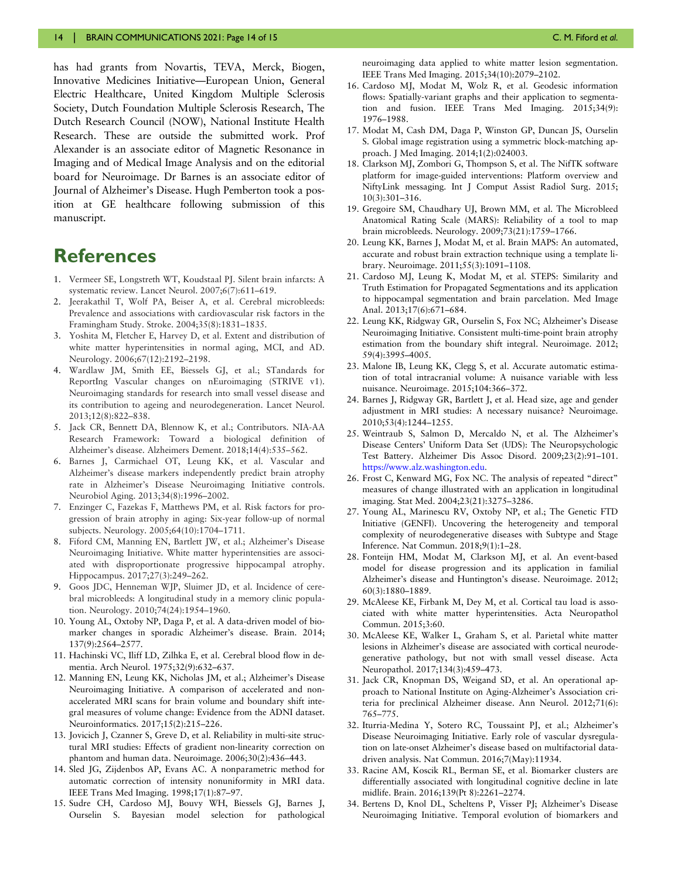<span id="page-13-0"></span>has had grants from Novartis, TEVA, Merck, Biogen, Innovative Medicines Initiative—European Union, General Electric Healthcare, United Kingdom Multiple Sclerosis Society, Dutch Foundation Multiple Sclerosis Research, The Dutch Research Council (NOW), National Institute Health Research. These are outside the submitted work. Prof Alexander is an associate editor of Magnetic Resonance in Imaging and of Medical Image Analysis and on the editorial board for Neuroimage. Dr Barnes is an associate editor of Journal of Alzheimer's Disease. Hugh Pemberton took a position at GE healthcare following submission of this manuscript.

# **References**

- 1. Vermeer SE, Longstreth WT, Koudstaal PJ. Silent brain infarcts: A systematic review. Lancet Neurol. 2007;6(7):611–619.
- [2.](#page-4-0) Jeerakathil T, Wolf PA, Beiser A, et al. Cerebral microbleeds: Prevalence and associations with cardiovascular risk factors in the Framingham Study. Stroke. 2004;35(8):1831–1835.
- 3. Yoshita M, Fletcher E, Harvey D, et al. Extent and distribution of white matter hyperintensities in normal aging, MCI, and AD. Neurology. 2006;67(12):2192–2198.
- [4.](#page-4-0) Wardlaw JM, Smith EE, Biessels GJ, et al.; STandards for ReportIng Vascular changes on nEuroimaging (STRIVE v1). Neuroimaging standards for research into small vessel disease and its contribution to ageing and neurodegeneration. Lancet Neurol. 2013;12(8):822–838.
- [5.](#page-2-0) Jack CR, Bennett DA, Blennow K, et al.; Contributors. NIA-AA Research Framework: Toward a biological definition of Alzheimer's disease. Alzheimers Dement. 2018;14(4):535–562.
- 6. Barnes J, Carmichael OT, Leung KK, et al. Vascular and Alzheimer's disease markers independently predict brain atrophy rate in Alzheimer's Disease Neuroimaging Initiative controls. Neurobiol Aging. 2013;34(8):1996–2002.
- 7. Enzinger C, Fazekas F, Matthews PM, et al. Risk factors for progression of brain atrophy in aging: Six-year follow-up of normal subjects. Neurology. 2005;64(10):1704–1711.
- 8. Fiford CM, Manning EN, Bartlett JW, et al.; Alzheimer's Disease Neuroimaging Initiative. White matter hyperintensities are associated with disproportionate progressive hippocampal atrophy. Hippocampus. 2017;27(3):249–262.
- [9.](#page-2-0) Goos JDC, Henneman WJP, Sluimer JD, et al. Incidence of cerebral microbleeds: A longitudinal study in a memory clinic population. Neurology. 2010;74(24):1954–1960.
- [10](#page-2-0). Young AL, Oxtoby NP, Daga P, et al. A data-driven model of biomarker changes in sporadic Alzheimer's disease. Brain. 2014; 137(9):2564–2577.
- [11](#page-2-0). Hachinski VC, Iliff LD, Zilhka E, et al. Cerebral blood flow in dementia. Arch Neurol. 1975;32(9):632–637.
- [12](#page-3-0). Manning EN, Leung KK, Nicholas JM, et al.; Alzheimer's Disease Neuroimaging Initiative. A comparison of accelerated and nonaccelerated MRI scans for brain volume and boundary shift integral measures of volume change: Evidence from the ADNI dataset. Neuroinformatics. 2017;15(2):215–226.
- [13](#page-3-0). Jovicich J, Czanner S, Greve D, et al. Reliability in multi-site structural MRI studies: Effects of gradient non-linearity correction on phantom and human data. Neuroimage. 2006;30(2):436–443.
- [14](#page-3-0). Sled JG, Zijdenbos AP, Evans AC. A nonparametric method for automatic correction of intensity nonuniformity in MRI data. IEEE Trans Med Imaging. 1998;17(1):87–97.
- [15](#page-3-0). Sudre CH, Cardoso MJ, Bouvy WH, Biessels GJ, Barnes J, Ourselin S. Bayesian model selection for pathological

neuroimaging data applied to white matter lesion segmentation. IEEE Trans Med Imaging. 2015;34(10):2079–2102.

- [16.](#page-3-0) Cardoso MJ, Modat M, Wolz R, et al. Geodesic information flows: Spatially-variant graphs and their application to segmentation and fusion. IEEE Trans Med Imaging. 2015;34(9): 1976–1988.
- [17.](#page-3-0) Modat M, Cash DM, Daga P, Winston GP, Duncan JS, Ourselin S. Global image registration using a symmetric block-matching approach. J Med Imaging. 2014;1(2):024003.
- [18.](#page-3-0) Clarkson MJ, Zombori G, Thompson S, et al. The NifTK software platform for image-guided interventions: Platform overview and NiftyLink messaging. Int J Comput Assist Radiol Surg. 2015; 10(3):301–316.
- [19.](#page-4-0) Gregoire SM, Chaudhary UJ, Brown MM, et al. The Microbleed Anatomical Rating Scale (MARS): Reliability of a tool to map brain microbleeds. Neurology. 2009;73(21):1759–1766.
- [20.](#page-4-0) Leung KK, Barnes J, Modat M, et al. Brain MAPS: An automated, accurate and robust brain extraction technique using a template library. Neuroimage. 2011;55(3):1091–1108.
- [21.](#page-4-0) Cardoso MJ, Leung K, Modat M, et al. STEPS: Similarity and Truth Estimation for Propagated Segmentations and its application to hippocampal segmentation and brain parcelation. Med Image Anal. 2013;17(6):671–684.
- [22.](#page-4-0) Leung KK, Ridgway GR, Ourselin S, Fox NC; Alzheimer's Disease Neuroimaging Initiative. Consistent multi-time-point brain atrophy estimation from the boundary shift integral. Neuroimage. 2012; 59(4):3995–4005.
- [23.](#page-4-0) Malone IB, Leung KK, Clegg S, et al. Accurate automatic estimation of total intracranial volume: A nuisance variable with less nuisance. Neuroimage. 2015;104:366–372.
- [24.](#page-4-0) Barnes J, Ridgway GR, Bartlett J, et al. Head size, age and gender adjustment in MRI studies: A necessary nuisance? Neuroimage. 2010;53(4):1244–1255.
- [25.](#page-4-0) Weintraub S, Salmon D, Mercaldo N, et al. The Alzheimer's Disease Centers' Uniform Data Set (UDS): The Neuropsychologic Test Battery. Alzheimer Dis Assoc Disord. 2009;23(2):91–101. [https://www.alz.washington.edu.](https://www.alz.washington.edu)
- [26.](#page-4-0) Frost C, Kenward MG, Fox NC. The analysis of repeated "direct" measures of change illustrated with an application in longitudinal imaging. Stat Med. 2004;23(21):3275–3286.
- [27.](#page-5-0) Young AL, Marinescu RV, Oxtoby NP, et al.; The Genetic FTD Initiative (GENFI). Uncovering the heterogeneity and temporal complexity of neurodegenerative diseases with Subtype and Stage Inference. Nat Commun. 2018;9(1):1–28.
- [28.](#page-5-0) Fonteijn HM, Modat M, Clarkson MJ, et al. An event-based model for disease progression and its application in familial Alzheimer's disease and Huntington's disease. Neuroimage. 2012; 60(3):1880–1889.
- [29.](#page-9-0) McAleese KE, Firbank M, Dey M, et al. Cortical tau load is associated with white matter hyperintensities. Acta Neuropathol Commun. 2015;3:60.
- [30.](#page-9-0) McAleese KE, Walker L, Graham S, et al. Parietal white matter lesions in Alzheimer's disease are associated with cortical neurodegenerative pathology, but not with small vessel disease. Acta Neuropathol. 2017;134(3):459–473.
- [31.](#page-9-0) Jack CR, Knopman DS, Weigand SD, et al. An operational approach to National Institute on Aging-Alzheimer's Association criteria for preclinical Alzheimer disease. Ann Neurol. 2012;71(6): 765–775.
- [32.](#page-10-0) Iturria-Medina Y, Sotero RC, Toussaint PJ, et al.; Alzheimer's Disease Neuroimaging Initiative. Early role of vascular dysregulation on late-onset Alzheimer's disease based on multifactorial datadriven analysis. Nat Commun. 2016;7(May):11934.
- [33.](#page-10-0) Racine AM, Koscik RL, Berman SE, et al. Biomarker clusters are differentially associated with longitudinal cognitive decline in late midlife. Brain. 2016;139(Pt 8):2261–2274.
- [34.](#page-10-0) Bertens D, Knol DL, Scheltens P, Visser PJ; Alzheimer's Disease Neuroimaging Initiative. Temporal evolution of biomarkers and